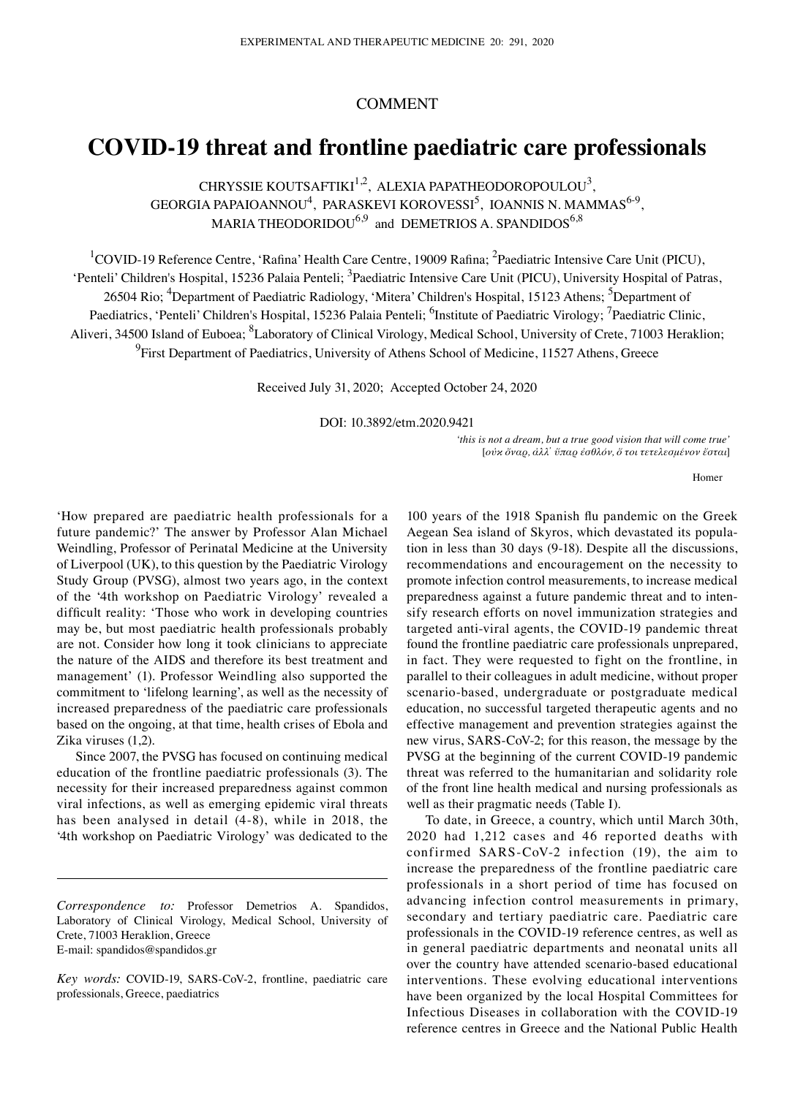# COMMENT

# **COVID‑19 threat and frontline paediatric care professionals**

CHRYSSIE KOUTSAFTIKI $^{1,2}$ , ALEXIA PAPATHEODOROPOULOU<sup>3</sup>, GEORGIA PAPAIOANNOU<sup>4</sup>, PARASKEVI KOROVESSI<sup>5</sup>, IOANNIS N. MAMMAS<sup>6-9</sup>, MARIA THEODORIDOU $^{6,9}$  and DEMETRIOS A. SPANDIDOS $^{6,8}$ 

<sup>1</sup>COVID-19 Reference Centre, 'Rafina' Health Care Centre, 19009 Rafina; <sup>2</sup>Paediatric Intensive Care Unit (PICU), 'Penteli' Children's Hospital, 15236 Palaia Penteli; <sup>3</sup>Paediatric Intensive Care Unit (PICU), University Hospital of Patras, 26504 Rio; <sup>4</sup>Department of Paediatric Radiology, 'Mitera' Children's Hospital, 15123 Athens; <sup>5</sup>Department of Paediatrics, 'Penteli' Children's Hospital, 15236 Palaia Penteli; <sup>6</sup>Institute of Paediatric Virology; <sup>7</sup>Paediatric Clinic, Aliveri, 34500 Island of Euboea; <sup>8</sup>Laboratory of Clinical Virology, Medical School, University of Crete, 71003 Heraklion; <sup>9</sup> First Department of Paediatrics, University of Athens School of Medicine, 11527 Athens, Greece

Received July 31, 2020; Accepted October 24, 2020

DOI: 10.3892/etm.2020.9421

*'this is not a dream, but a true good vision that will come true'* [*οὐκ ὄναρ, ἀλλ᾽ ὕπαρ ἐσθλόν, ὅ τοι τετελεσμένον ἔσται*]

Homer

'How prepared are paediatric health professionals for a future pandemic?' The answer by Professor Alan Michael Weindling, Professor of Perinatal Medicine at the University of Liverpool (UK), to this question by the Paediatric Virology Study Group (PVSG), almost two years ago, in the context of the '4th workshop on Paediatric Virology' revealed a difficult reality: 'Those who work in developing countries may be, but most paediatric health professionals probably are not. Consider how long it took clinicians to appreciate the nature of the AIDS and therefore its best treatment and management' (1). Professor Weindling also supported the commitment to 'lifelong learning', as well as the necessity of increased preparedness of the paediatric care professionals based on the ongoing, at that time, health crises of Ebola and Zika viruses (1,2).

Since 2007, the PVSG has focused on continuing medical education of the frontline paediatric professionals (3). The necessity for their increased preparedness against common viral infections, as well as emerging epidemic viral threats has been analysed in detail (4‑8), while in 2018, the '4th workshop on Paediatric Virology' was dedicated to the

100 years of the 1918 Spanish flu pandemic on the Greek Aegean Sea island of Skyros, which devastated its popula‑ tion in less than 30 days (9‑18). Despite all the discussions, recommendations and encouragement on the necessity to promote infection control measurements, to increase medical preparedness against a future pandemic threat and to intensify research efforts on novel immunization strategies and targeted anti-viral agents, the COVID-19 pandemic threat found the frontline paediatric care professionals unprepared, in fact. They were requested to fight on the frontline, in parallel to their colleagues in adult medicine, without proper scenario‑based, undergraduate or postgraduate medical education, no successful targeted therapeutic agents and no effective management and prevention strategies against the new virus, SARS-CoV-2; for this reason, the message by the PVSG at the beginning of the current COVID‑19 pandemic threat was referred to the humanitarian and solidarity role of the front line health medical and nursing professionals as well as their pragmatic needs (Table I).

To date, in Greece, a country, which until March 30th, 2020 had 1,212 cases and 46 reported deaths with confirmed SARS‑CoV‑2 infection (19), the aim to increase the preparedness of the frontline paediatric care professionals in a short period of time has focused on advancing infection control measurements in primary, secondary and tertiary paediatric care. Paediatric care professionals in the COVID‑19 reference centres, as well as in general paediatric departments and neonatal units all over the country have attended scenario‑based educational interventions. These evolving educational interventions have been organized by the local Hospital Committees for Infectious Diseases in collaboration with the COVID‑19 reference centres in Greece and the National Public Health

*Correspondence to:* Professor Demetrios A. Spandidos, Laboratory of Clinical Virology, Medical School, University of Crete, 71003 Heraklion, Greece E‑mail: spandidos@spandidos.gr

*Key words:* COVID‑19, SARS‑CoV‑2, frontline, paediatric care professionals, Greece, paediatrics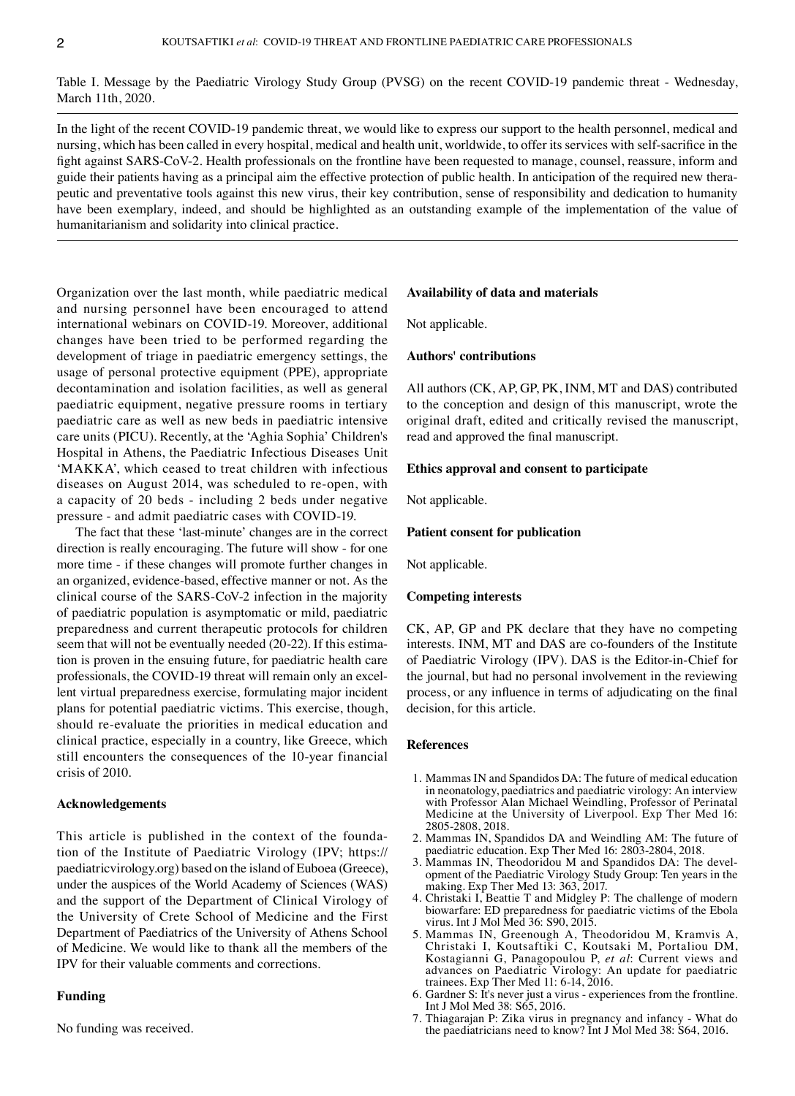Table I. Message by the Paediatric Virology Study Group (PVSG) on the recent COVID-19 pandemic threat - Wednesday, March 11th, 2020.

In the light of the recent COVID-19 pandemic threat, we would like to express our support to the health personnel, medical and nursing, which has been called in every hospital, medical and health unit, worldwide, to offer its services with self-sacrifice in the fight against SARS-CoV-2. Health professionals on the frontline have been requested to manage, counsel, reassure, inform and guide their patients having as a principal aim the effective protection of public health. In anticipation of the required new therapeutic and preventative tools against this new virus, their key contribution, sense of responsibility and dedication to humanity have been exemplary, indeed, and should be highlighted as an outstanding example of the implementation of the value of humanitarianism and solidarity into clinical practice.

Organization over the last month, while paediatric medical and nursing personnel have been encouraged to attend international webinars on COVID‑19. Moreover, additional changes have been tried to be performed regarding the development of triage in paediatric emergency settings, the usage of personal protective equipment (PPE), appropriate decontamination and isolation facilities, as well as general paediatric equipment, negative pressure rooms in tertiary paediatric care as well as new beds in paediatric intensive care units (PICU). Recently, at the 'Aghia Sophia' Children's Hospital in Athens, the Paediatric Infectious Diseases Unit 'MAKKA', which ceased to treat children with infectious diseases on August 2014, was scheduled to re‑open, with a capacity of 20 beds ‑ including 2 beds under negative pressure ‑ and admit paediatric cases with COVID‑19.

The fact that these 'last-minute' changes are in the correct direction is really encouraging. The future will show ‑ for one more time - if these changes will promote further changes in an organized, evidence‑based, effective manner or not. As the clinical course of the SARS‑CoV‑2 infection in the majority of paediatric population is asymptomatic or mild, paediatric preparedness and current therapeutic protocols for children seem that will not be eventually needed (20-22). If this estimation is proven in the ensuing future, for paediatric health care professionals, the COVID-19 threat will remain only an excellent virtual preparedness exercise, formulating major incident plans for potential paediatric victims. This exercise, though, should re‑evaluate the priorities in medical education and clinical practice, especially in a country, like Greece, which still encounters the consequences of the 10‑year financial crisis of 2010.

# **Acknowledgements**

This article is published in the context of the foundation of the Institute of Paediatric Virology (IPV; https:// paediatricvirology.org) based on the island of Euboea (Greece), under the auspices of the World Academy of Sciences (WAS) and the support of the Department of Clinical Virology of the University of Crete School of Medicine and the First Department of Paediatrics of the University of Athens School of Medicine. We would like to thank all the members of the IPV for their valuable comments and corrections.

## **Funding**

No funding was received.

#### **Availability of data and materials**

Not applicable.

## **Authors' contributions**

All authors (CK, AP, GP, PK, INM, MT and DAS) contributed to the conception and design of this manuscript, wrote the original draft, edited and critically revised the manuscript, read and approved the final manuscript.

## **Ethics approval and consent to participate**

Not applicable.

#### **Patient consent for publication**

Not applicable.

## **Competing interests**

CK, AP, GP and PK declare that they have no competing interests. INM, MT and DAS are co-founders of the Institute of Paediatric Virology (IPV). DAS is the Editor‑in‑Chief for the journal, but had no personal involvement in the reviewing process, or any influence in terms of adjudicating on the final decision, for this article.

#### **References**

- 1. Mammas IN and Spandidos DA: The future of medical education in neonatology, paediatrics and paediatric virology: An interview with Professor Alan Michael Weindling, Professor of Perinatal Medicine at the University of Liverpool. Exp Ther Med 16: 2805‑2808, 2018.
- 2. Mammas IN, Spandidos DA and Weindling AM: The future of paediatric education. Exp Ther Med 16: 2803‑2804, 2018.
- 3. Mammas IN, Theodoridou M and Spandidos DA: The devel‑ opment of the Paediatric Virology Study Group: Ten years in the making. Exp Ther Med 13: 363, 2017.
- 4. Christaki I, Beattie T and Midgley P: The challenge of modern biowarfare: ED preparedness for paediatric victims of the Ebola virus. Int J Mol Med 36: S90, 2015.
- 5. Mammas IN, Greenough A, Theodoridou M, Kramvis A, Christaki I, Koutsaftiki C, Koutsaki M, Portaliou DM, Kostagianni G, Panagopoulou P, *et al*: Current views and advances on Paediatric Virology: An update for paediatric trainees. Exp Ther Med 11: 6‑14, 2016.
- 6. Gardner S: It's never just a virus ‑ experiences from the frontline. Int J Mol Med 38: S65, 2016.
- 7. Thiagarajan P: Zika virus in pregnancy and infancy ‑ What do the paediatricians need to know? Int J Mol Med 38: S64, 2016.